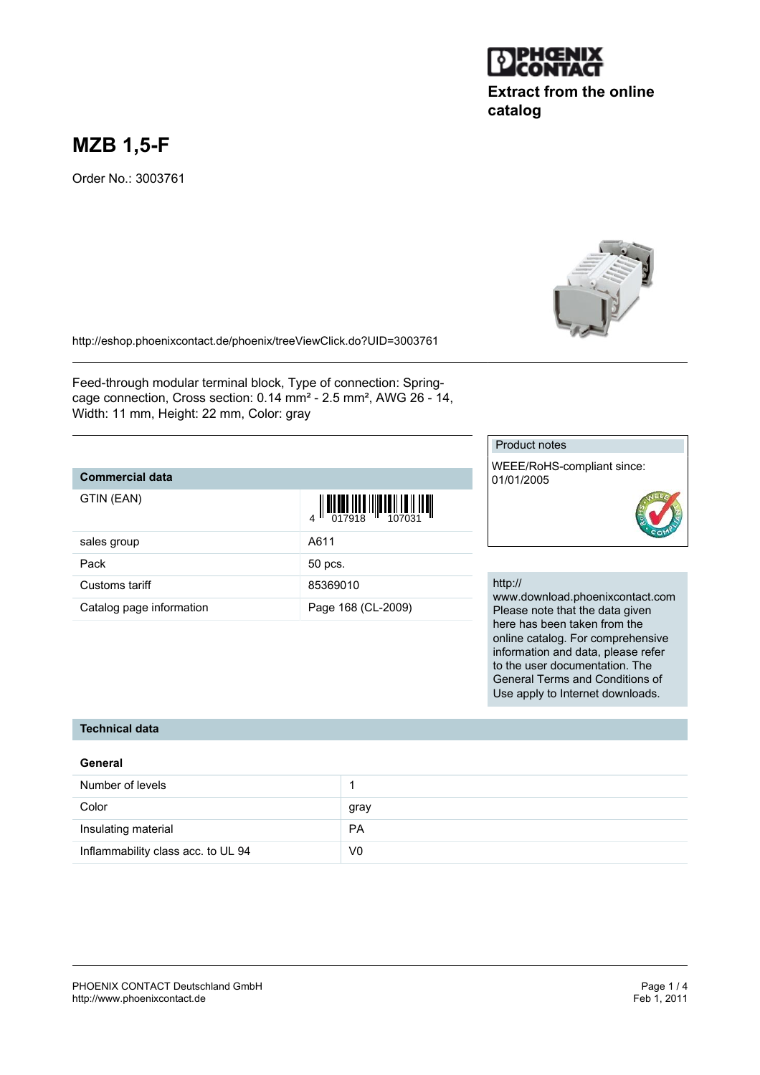# **MZB 1,5-F**

Order No.: 3003761

<http://eshop.phoenixcontact.de/phoenix/treeViewClick.do?UID=3003761>

Feed-through modular terminal block, Type of connection: Springcage connection, Cross section: 0.14 mm² - 2.5 mm², AWG 26 - 14, Width: 11 mm, Height: 22 mm, Color: gray

### **Commercial data**

GTIN (EAN)

|                          | 4 017918 107031    |
|--------------------------|--------------------|
| sales group              | A611               |
| Pack                     | 50 pcs.            |
| Customs tariff           | 85369010           |
| Catalog page information | Page 168 (CL-2009) |

## Product notes

http://

WEEE/RoHS-compliant since: 01/01/2005

www.download.phoenixcontact.com Please note that the data given here has been taken from the online catalog. For comprehensive information and data, please refer to the user documentation. The General Terms and Conditions of Use apply to Internet downloads.







**catalog**

**Extract from the online**

## **Technical data**

| General                            |                |
|------------------------------------|----------------|
| Number of levels                   |                |
| Color                              | gray           |
| Insulating material                | <b>PA</b>      |
| Inflammability class acc. to UL 94 | V <sub>0</sub> |

4 01<u>111 1111 1111 1111 1111</u>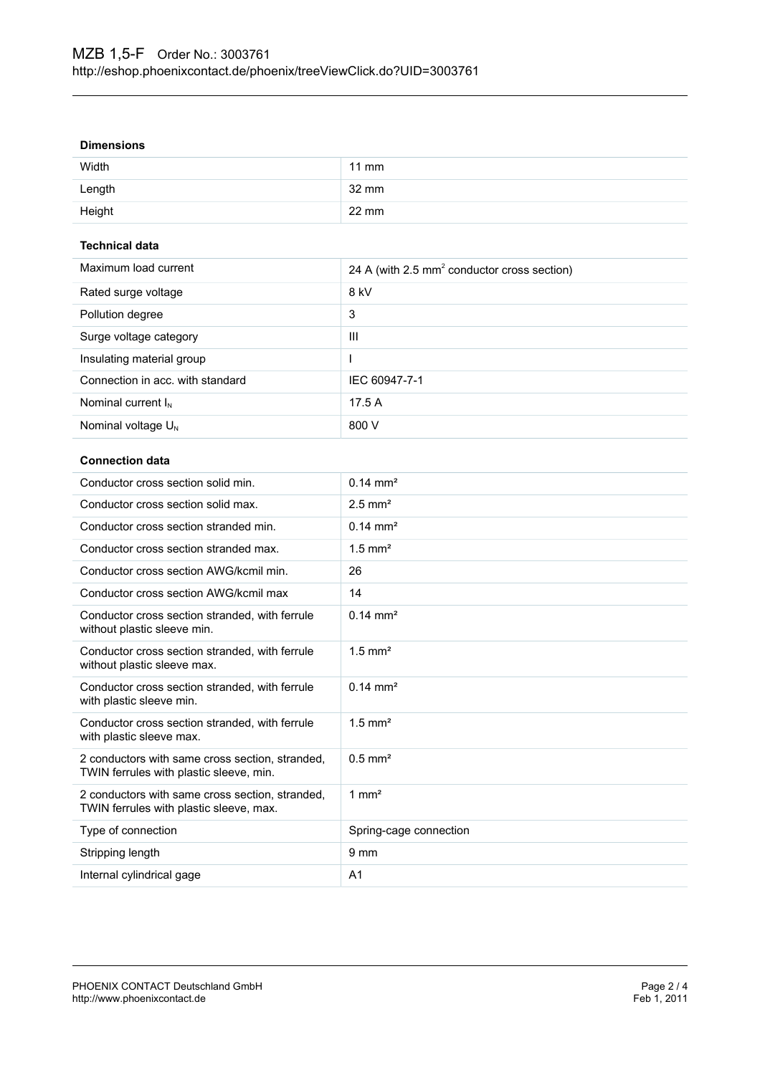#### **Dimensions**

| Width  | $11 \text{ mm}$ |
|--------|-----------------|
| Length | 32 mm           |
| Height | 22 mm           |

## **Technical data**

| Maximum load current             | 24 A (with 2.5 mm <sup>2</sup> conductor cross section) |
|----------------------------------|---------------------------------------------------------|
| Rated surge voltage              | 8 kV                                                    |
| Pollution degree                 | 3                                                       |
| Surge voltage category           | Ш                                                       |
| Insulating material group        |                                                         |
| Connection in acc. with standard | IEC 60947-7-1                                           |
| Nominal current $I_N$            | 17.5A                                                   |
| Nominal voltage $U_{N}$          | 800 V                                                   |

### **Connection data**

| Conductor cross section solid min.                                                         | $0.14 \text{ mm}^2$    |
|--------------------------------------------------------------------------------------------|------------------------|
| Conductor cross section solid max.                                                         | $2.5$ mm <sup>2</sup>  |
| Conductor cross section stranded min.                                                      | $0.14 \text{ mm}^2$    |
| Conductor cross section stranded max.                                                      | $1.5$ mm <sup>2</sup>  |
| Conductor cross section AWG/kcmil min.                                                     | 26                     |
| Conductor cross section AWG/kcmil max                                                      | 14                     |
| Conductor cross section stranded, with ferrule<br>without plastic sleeve min.              | $0.14 \text{ mm}^2$    |
| Conductor cross section stranded, with ferrule<br>without plastic sleeve max.              | $1.5$ mm <sup>2</sup>  |
| Conductor cross section stranded, with ferrule<br>with plastic sleeve min.                 | $0.14 \text{ mm}^2$    |
| Conductor cross section stranded, with ferrule<br>with plastic sleeve max.                 | $1.5$ mm <sup>2</sup>  |
| 2 conductors with same cross section, stranded,<br>TWIN ferrules with plastic sleeve, min. | $0.5$ mm <sup>2</sup>  |
| 2 conductors with same cross section, stranded.<br>TWIN ferrules with plastic sleeve, max. | 1 $mm2$                |
| Type of connection                                                                         | Spring-cage connection |
| Stripping length                                                                           | $9 \, \text{mm}$       |
| Internal cylindrical gage                                                                  | A <sub>1</sub>         |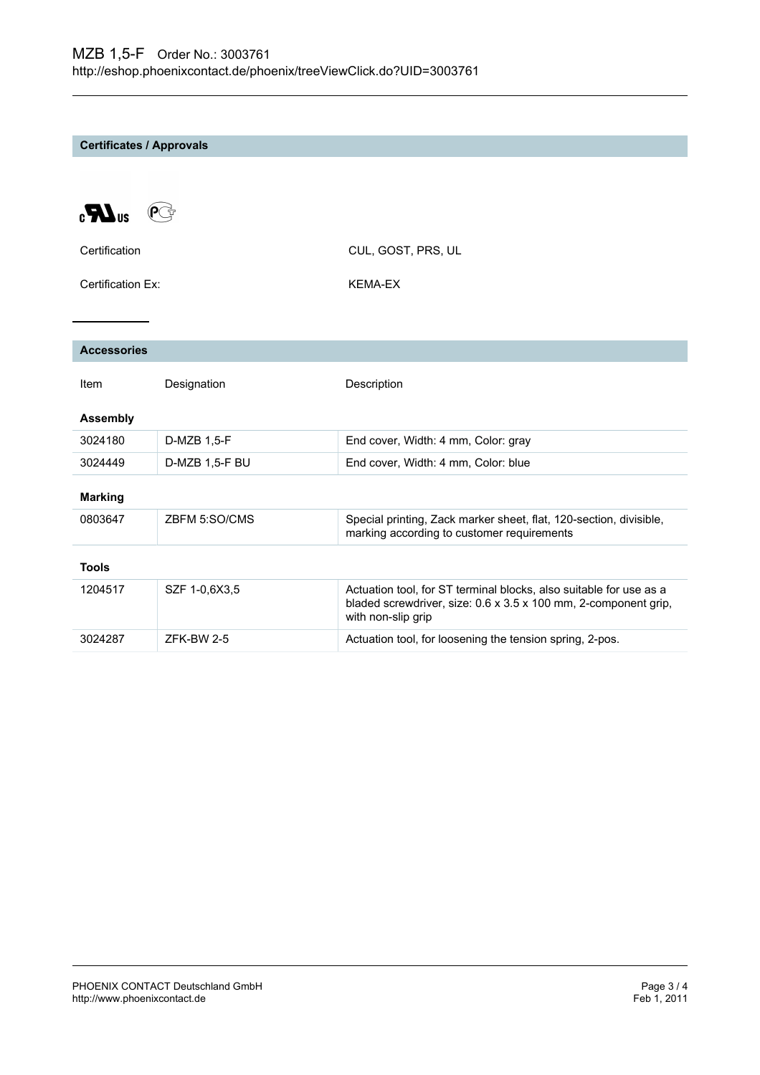| <b>Certificates / Approvals</b> |                |                                                                                                                                                             |
|---------------------------------|----------------|-------------------------------------------------------------------------------------------------------------------------------------------------------------|
|                                 |                |                                                                                                                                                             |
|                                 |                |                                                                                                                                                             |
| $\mu$                           |                |                                                                                                                                                             |
| Certification                   |                | CUL, GOST, PRS, UL                                                                                                                                          |
| Certification Ex:               |                | <b>KEMA-EX</b>                                                                                                                                              |
|                                 |                |                                                                                                                                                             |
|                                 |                |                                                                                                                                                             |
| <b>Accessories</b>              |                |                                                                                                                                                             |
| Item                            | Designation    | Description                                                                                                                                                 |
| <b>Assembly</b>                 |                |                                                                                                                                                             |
| 3024180                         | D-MZB 1,5-F    | End cover, Width: 4 mm, Color: gray                                                                                                                         |
| 3024449                         | D-MZB 1,5-F BU | End cover, Width: 4 mm, Color: blue                                                                                                                         |
| <b>Marking</b>                  |                |                                                                                                                                                             |
| 0803647                         | ZBFM 5:SO/CMS  | Special printing, Zack marker sheet, flat, 120-section, divisible,<br>marking according to customer requirements                                            |
| <b>Tools</b>                    |                |                                                                                                                                                             |
| 1204517                         | SZF 1-0,6X3,5  | Actuation tool, for ST terminal blocks, also suitable for use as a<br>bladed screwdriver, size: 0.6 x 3.5 x 100 mm, 2-component grip,<br>with non-slip grip |
| 3024287                         | ZFK-BW 2-5     | Actuation tool, for loosening the tension spring, 2-pos.                                                                                                    |